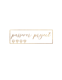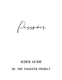# SEDER GUIDE BY: THE PASSOVER PROJECT

Passover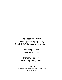The Passover Project www.thepassoverproject.org Email: info@thepassoverproject.org

> Friendship Church www.fcfrisco.org

MorganSugg.com www.morgansugg.com

Copyright 2022 By: The Passover Project & Friendship Church All Rights Reserved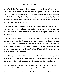### **INTRODUCTION**

In the Torah God forever set in place appointed times or "Moadims" to meet with Him. Passover or "Pesach" is the first of these appointed times or Feasts of the Lord. The Passover is historical fact that recounts the deliverance of the Israelites from their slavery in Egypt. As believers in Jesus, we not only remember the great miracle of deliverance from Egypt but also recognize that Passover foreshadowed our redemption from sin and death.

God redeemed His children so they could live a life of freedom bringing honor to Him. Likewise, we all have been redeemed from slavery and sin. As we honor this appointed time let us be reminded of our redemption through the blood of Jesus our Messiah.

During Jesus's final hours on earth, He observed Passover with His disciples. It was during this meal that Jesus revealed the significance of the Seder elements and decreed that we should "do this in remembrance of Him" and His sacrifice for us until He returns again. 1 Corinthians 11:26 states, "For as often as you eat this (unleavened) bread and drink this cup (the Cup of Redemption), you proclaim the death of the Lord until He comes."

The following Haggadah is based upon the traditional order of service, and is adapted for use by Gentile followers of Jesus. Along with the elements of the Seder, we will share the link between the Exodus Story and the Last Supper.

As we observe this Seder or "meal with order" enjoy this time of great blessings and redemption that God gives us through our Savior and Messiah Jesus.

**\*Italicized text indicates action to be taken and/or phrases to be repeated by the participants.**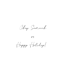Chag Sameach

 $r\gamma$ 

Happy Holiday!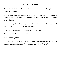### Candle Lighting

By honoring this feast ordained by God we share in the experience of spiritual and physical freedom and redemption.

Have you come to the table shackled by the strains of daily life? Share in this celebration of deliverance with us. God is the one who brings us out of bondage, and He is the same yesterday, today, and forever.

As the women begin the Seder by bringing the light to the table, let us remember that God used a woman to bring forth our Savior, the Light of the World.

The women will now officially open the service by lighting the candles:

#### *Women Light The Candles at Your Table.*

#### *All women Say Together:*

*" Blessed are You, O Lord our God, King of the Universe, You have sanctified us by Your Word and given us Jesus our Messiah, and commanded us to be a light to the world."*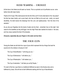## Hand Washing – Urchatz

At this time in the Seder we will wash our hands. This is a symbolic act of purification as we come before God with clean hands.

Psalms 24:3-5 says "Who shall ascend into the hill of the Lord? Or who shall stand in His holy place? He that has clean hands, and a pure heart; who has not lifted up his soul unto vanity, nor sword deceitfully. He shall receive the blessings from the Lord, and righteousness from the God of his salvation."

As you dip your fingertips into the bowls of water and dry them , remember how on this night God cared for the Israelites as they left Egypt, how the High Priest later washed his hands in the laver, and how Jesus washed the feet of His disciples.

#### *Everyone, separately dip your fingers in the water and dry them.*

### THE FOUR CUPS

During this Seder we will drink four cups of juice which represent the four things God said He would do for His children in Exodus 6: 6 &7:

The Cup of Sanctification: "I will bring you out..."

The Cup of Deliverance: "I will deliver you..."

The Cup of Redemption: "I will redeem you..."

The Cup of restoration: "I will take you as My People..."

For each of the four cups there is a traditional fulfillment as seen in the Exodus story and a fulfillment by Jesus. We will look at both fulfillments starting with the Cup of Sanctification.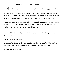#### THE CUP OF SANCTIFICATION

"I will bring you out from under the yoke of the Egyptians"

With this first cup we remember God rescuing His children out of Egypt and setting them apart from the world. God heard the cries of His people, remembered His promise to Abraham, Isaac, and Jacob, and responded with "I will bring you out!" God brought them out and set them apart.

We know that Jesus has called us to be in this world but not of it. Jesus calls each of us to live a life set apart, marked by His sacrifice, living as disciples for Him. We rejoice and celebrate God's goodness to his people, with full cups, and hearts filled with joy.

Let us take this first cup, the Cup of Sanctification, and bless the Lord for bringing us out and setting us apart.

#### *Lift our first cup and say Together:*

*"Blessed are You, O Lord, our God, King of the Universe, Who creates the fruit of the vine. Who sent Jesus to be our example and Redeemer. In the name Jesus our Messiah. Amen."* 

#### *All drink the first cup together.*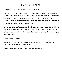### Parsley – Karpas

#### **Child asks**: *"Why do we eat parsley and salt water*?"

Passover is a spring feast. During this season the earth begins to bloom and become green with life. Parsley, called karpas, represents life that is created and sustained by God. It symbolizes the hyssop used to place the blood of the Passover lamb on the doorposts at the first Passover. The salt water represents the tears shed while in bitter slavery and sin.

Let us take a sprig of parsley and dip it into the salt water, remembering this life can bring seasons of tears. But just like the Israelites, God hears our cry and is faithful to respond. We await the day when Jesus calls us to himself and wipes away every tear.

#### *Everyone say together:*

*"Blessed are you, King of the Universe, who creates the fruit of the earth and brings life and joy from sorrow and pain."* 

#### *Everyone eat the parsley dipped in saltwater together.*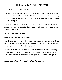### Unleavened Bread - Matzah

#### **Child asks:** "*Why do we eat Matzah tonight?"*

On all other nights we eat bread with leaven, but on Passover we eat only Matzah, unleavened bread. We do this because the Israelites did not have time for their dough to rise, so instead they had to eat it baked flat. God commanded them to always eat matzah as a reminder of their deliverance from Egypt.

Leaven is also a representation of sin in our lives. During Passover we eat matzah not only to remember the Israelites deliverance from Egypt but also our deliverance from the bondage of sin through our Savior, Jesus.

#### *Everyone eat their Matzah Together.*

#### *Leader holds up the three sheets of Matzah.*

We lay three pieces of matzah to the side in remembrance of Abraham, Isaac, and Jacob. But we also see these three pieces of matzah as a representation of the Father, Son, and the Holy Spirit, who not only delivered the Israelites but also saved each of us.

I will now break the middle matzah. This broken matzah is the Afikomen, a Greek word meaning "He shall come again." We will discuss the afikomen again after the meal. The afikomen will be hidden and the children will search for it later. It will be gone for a time, but then it shall appear again.

*Leader wraps the afikomen in a napkin to be hidden during the meal.*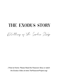# THE EXODUS STORY

Retelling of the Exodus Story

*(\*Host at Home: Please Read the Passover Story or watch the Exodus Video at www.ThePassoverProject.org)*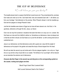### The Cup of Deliverance

"I will deliver you from your bondage"

The Israelite slaves lived in a season that felt like it would never end. They remembered the promises God made and cried out to Him. God heard their cries and answered back with "I will deliver you from your bondage." God delivered on His promise. When Pharaoh refused to let the Israelites go, God sent ten plagues to change Pharaoh's heart.

Just like the Israelites were slaves in Egypt we too have all been slaves to sin. And God, in His goodness, delivered us through His Son, Jesus, our Savior.

Even now we may find ourselves in situations that seem like there is no way out or no answer. But God hears our cries and He is faithful to deliver us. Sometimes our deliverance does not always look or feel like we think it should, but God hears our cry and He will deliver us with a strong hand and an outstretched arm.

Jesus is our deliverance, but that deliverance came with a great cost. Jesus felt the weight of deliverance as He prayed in the garden and sweat like drops of blood dripped from His head.

We will now take the second cup and recite each of the ten plagues together. Let us dip our finger into our cup and let a drop of juice fall on our coaster. The fullness of our cup tonight will be reduced as we remember the extreme cost of deliverance.

#### *Everyone dip their finger in the second cup and drip juice on the corresponding symbol on the coaster, reciting each plague one time:*

*" Blood! Frogs! Gnats! Flies! Livestock! Boils!* 

*Hail! Locusts! Darkness! Death of the Firstborn! "*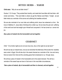### Bitter Herbs – Maror

#### **Child asks:** " *Why do we eat bitter herbs? "*

Exodus 1:13-14 says, "They worked them harshly, and made their lives bitter with hard labor with mortar and bricks..." This word bitter is where we get the Hebrew word Maror. Tonight, we eat bitter herbs as a reminder of the sorrow and suffering the Israelites endured.

We are also reminded of our own trials and suffering which Jesus has redeemed us from. We know in Matthew 21, Jesus talks of drinking from a bitter cup. He too knew the pain and suffering of this world and took that weight upon Himself and conquered it. He has turned our sorrow into joy.

*Dip a piece of matzah into the horseradish and eat together.* 

### **CHAROSET**

Child: " On all other nights we do not even dip once, why on this night do we dip twice? "

We will now dip our matzah twice, once as we remember the bitterness of the burden the Israelites were under in Egypt. We will also dip in the sweet charoset as a reminder of the love and mercy that we receive from God and the unending grace that is bestowed on us through Jesus.

We will dip a piece of matzah in the horseradish and in the sweet charoset. This will be a reminder of the sweet hope we have in God even in the most bitter circumstances.

*Take a piece of matzah, dip in horseradish and then in charoset, and eat together.*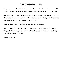### The Passover Lamb

Tonight we are reminded of the first Passover lamb that was killed. The lamb's blood marked the doorposts of the homes of the children of Israel, signifying their obedience to God's command.

Jewish people can no longer sacrifice a lamb on Passover because the Temple was destroyed. We also know there is no additional sacrifice needed because God did just as He promised Abraham in Genesis 22:8 and provided a lamb for Himself.

#### *Optional: Seder Leader show the group members the Lamb Shank*

Jesus died as our Passover Lamb, His blood marks a sign over the doorposts of our hearts. We, just like the Israelites, have been delivered from the yoke of sin and eternal death through the sacrifice of Jesus Our Messiah.

(Isaiah 52:12-53:12)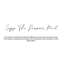Enjoy The Passover Meal

*(The Passover Host should hide the Afikomen at some point during the meal. The children in attendance will search for the Afikomen at the conclusion of the Seder Meal.)*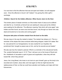### Afikomen

It is now time to find the afikomen that was set apart and hidden, but will reappear soon. Once the afikomen is found I will "redeem" it by giving the child a gift in exchange.

#### *Children: Search for the hidden afikomen. When found, return to the Host.*

This broken piece of matzah reminds us of the broken heart of Jesus as he suffered and died for us. It reminds us that all men are seeking for Jesus just as the children were seeking for the afikomen. The afikomen meaning "that which will come again" was hidden and then found, we were once lost then found, only through our Savior who was dead and buried but is now alive and coming again!

#### *Everyone take piece of broken matzah from the bowl on the table.*

We see Jesus in the way the matzah is baked. The matzah has stripes on it. This is a reminder of the stripes that Jesus endured while being whipped. Isaiah 53:5 states "But he was pierced for our transgressions, he was crushed for our iniquities; the punishment that brought us peace was on him, and by his wounds we are healed."

We also see how the matzah is pierced. Which is a reminder of his nail pierced hands. The prophet Zachariah says in 12:10 "Then I will pour out on the house of David and the inhabitants of Jerusalem a spirit of grace and supplication, when they will look toward Me whom they pierced."

Jesus, the Living Bread, who knew no sin took sin upon himself, gave up His body to be wounded and crushed. Jesus died, and rose again so that we might become the righteousness of God, so that we could have salvation and healing, and reign with God forevermore.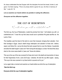As Jesus celebrated the last Supper with His disciples He took the bread, broke it, and gave it to them saying, "This is my body which is given for you. Do this in memory of Me." Luke 22: 19

#### *Let us examine our hearts before we partake in eating the afikomen.*

*Everyone eat the afikomen together.* 

### THE CUP OF REDEMPTION

"I will redeem you with an outstretched arm"

The third cup, the Cup of Redemption, recalls the promise from God, "I will redeem you with an outstretched arm." It was this cup that Jesus would use to symbolize His great sacrifice as the Lamb of God.

The Israelites used the blood of the lamb to cover their doorpost, bringing them salvation from their bondage in Egypt. Jesus's death brings redemption and salvation to those who believe, repent, and follow Him. Just as the blood the lamb caused God to cover the Hebrew households and allow the death angel to "pass over" them during the last plague, so does the blood that Jesus shed on the cross cause death to "pass over" those who believe.

This cup is the cup of the new covenant for those who trust in the death and resurrection of Jesus for their forgiveness of sins. Luke 22:20 says, "Likewise, He took the cup after supper, saying, 'This cup is the new covenant in my blood which is poured out for you.'"

Let us again take a moment and examine our hearts before we drink the cup of redemption.

#### *Take the third cup.*

**Everyone drink the cup of redemption together.**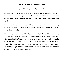### THE CUP OF RESTORATION

"I will take you as My people"

Before we drink this final cup, the cup of restoration, we remember that God kept His promise to restore Israel. God delivered His promise even when on earth it looked like there was no possible way. God took His people, the seed of Abraham, and restored them to their rightly state as kings and priests.

Through our Savior we have access to complete restoration in our own lives. There is no earthly circumstance that will keep God from delivering on His promise and restoring our lives to promised state as kings and priests.

This fourth cup, represents the fourth "I will" statement from God in Exodus 6, "I will take you as my people." Jesus told his disciples He would not drink from the fourth cup but promised to do so in the coming Kingdom. This cup may also be called the "cup of praise" since it will truly be savored only after "all of Israel shall be saved" (Romans 11:26). God is faithful to keep His promise to restore all of the Lost Sheep of the House of Israel. We are promised an extravagant exodus but as we keep our eyes on eternity and remember our salvation let us worship our savior because we are no longer slaves but redeemed and free.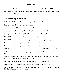## **HALLEL**

At this point in the Seder, we will recite part of the Hallel, which is Psalm 113-118. These Scriptures recount God's past acts of salvation and look forward to our final redemption. Let us all recite Psalm 118 together.

#### *Everyone recite together Psalm 118:*

1 Give thanks to the LORD, for he is good; his love endures forever.

2 Let Israel say: His love endures forever."

3 Let the house of Aaron say: His love endures forever."

4 Let those who fear the LORD say: "His love endures forever."

5 In my anguish I cried to the LORD, and he answered by setting me free.

6 The LORD is with me; I will not be afraid. What can man do to me?

7 The LORD is with me; he is my helper. I will look in triumph on my enemies.

8 It is better to take refuge in the LORD than to trust in man.

9 It is better to take refuge in the LORD than to trust in princes.

10 All the nations surrounded me, but in the name of the LORD I cut them off.

11 They surrounded me on every side, but in the name of the LORD I cut them off.

12 They swarmed around me like bees, but they died out as quickly as burning thorns; in the name of the LORD I cut them off.

13 I was pushed back and about to fall, but the LORD helped me.

14 The LORD is my strength and my song; he has become my salvation.

15 Shouts of joy and victory resound in the tents of the righteous: "The LORD's right hand has done mighty things!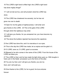16 The LORD's right hand is lifted high; the LORD's right hand has done mighty things!"

17 I will not die but live, and will proclaim what the LORD has done.

18 The LORD has chastened me severely, but he has not

given me over to death.

19 Open for me the gates of righteousness; I will enter and

give thanks to the LORD. 20 This is the gate of the LORD

through which the righteous may enter.

21 I will give you thanks, for you answered me; you have become my salvation.

22 The stone the builders rejected has become the capstone;

23 the LORD has done this, and it is marvelous in our eyes.

24 This is the day the LORD has made; let us rejoice and be glad in it.

25 O LORD, save us; O LORD, grant us success.

26 Blessed is he who comes in the name of the LORD. From the house of the LORD we bless you.

27 The LORD is God, and he has made his light shine upon us. With boughs in hand, join in the festal procession up to the horns of the altar.

28 You are my God, and I will give you thanks; you are my

God, and I will exalt you.

29 Give thanks to the LORD, for he is good; his love endures

forever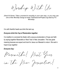Worship With Us

*(Host At Home: Take a moment to worship in your own way, or you may use one of the Worship Songs at www.ThePassoverProject.org lead by FC Worship)*

It is with thankful hearts we drink this last cup.

#### *Everyone drink the Cup of Restoration together.*

It is tradition to conclude the Seder with a joyous proclamation of hope and faith by saying together Maranatha or Next Year in New Jerusalem. This has great meaning because we expect and look for Jesus our Messiah to return. We wait in hope & say together:

#### *Everyone Say:*

Maranatha! Next Year

in the New Jerusalem!

19